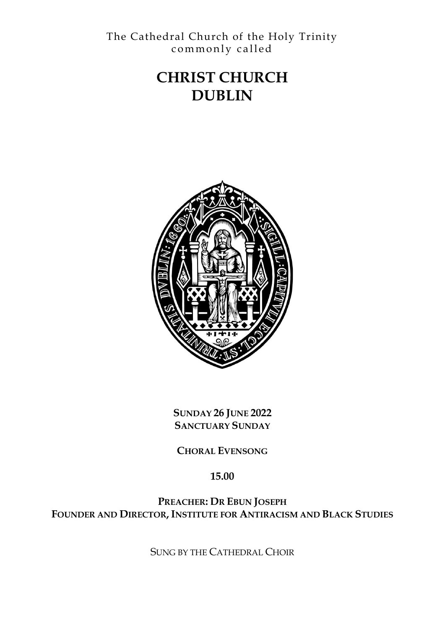The Cathedral Church of the Holy Trinity commonly called

# **CHRIST CHURCH DUBLIN**



**SUNDAY 26 JUNE 2022 SANCTUARY SUNDAY**

**CHORAL EVENSONG**

# **15.00**

**PREACHER: DR EBUN JOSEPH FOUNDER AND DIRECTOR,INSTITUTE FOR ANTIRACISM AND BLACK STUDIES**

SUNG BY THE CATHEDRAL CHOIR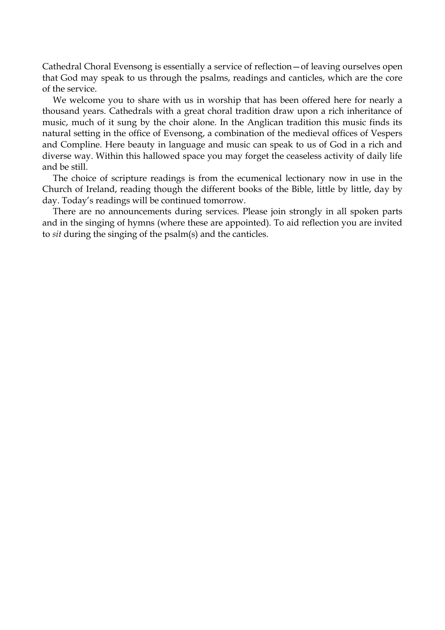Cathedral Choral Evensong is essentially a service of reflection—of leaving ourselves open that God may speak to us through the psalms, readings and canticles, which are the core of the service.

We welcome you to share with us in worship that has been offered here for nearly a thousand years. Cathedrals with a great choral tradition draw upon a rich inheritance of music, much of it sung by the choir alone. In the Anglican tradition this music finds its natural setting in the office of Evensong, a combination of the medieval offices of Vespers and Compline. Here beauty in language and music can speak to us of God in a rich and diverse way. Within this hallowed space you may forget the ceaseless activity of daily life and be still.

The choice of scripture readings is from the ecumenical lectionary now in use in the Church of Ireland, reading though the different books of the Bible, little by little, day by day. Today's readings will be continued tomorrow.

There are no announcements during services. Please join strongly in all spoken parts and in the singing of hymns (where these are appointed). To aid reflection you are invited to *sit* during the singing of the psalm(s) and the canticles.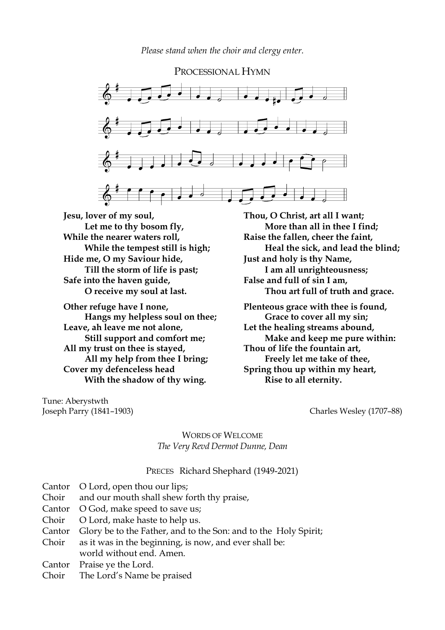#### *Please stand when the choir and clergy enter.*





**Jesu, lover of my soul, Thou, O Christ, art all I want; While the nearer waters roll, Raise the fallen, cheer the faint, Hide me, O my Saviour hide, Just and holy is thy Name, Safe into the haven guide, False and full of sin I am,**

**Hangs my helpless soul on thee; Leave, ah leave me not alone, Let the healing streams abound,** All my trust on thee is stayed, **All my help from thee I bring; Freely let me take of thee, Cover my defenceless head Spring thou up within my heart, With the shadow of thy wing. Rise to all eternity.**

Tune: Aberystwth Joseph Parry (1841–1903) Charles Wesley (1707–88)

Let me to thy bosom fly, More than all in thee I find; While the tempest still is high; **Heal the sick, and lead the blind**; **Till the storm of life is past; I am all unrighteousness; O receive my soul at last. Thou art full of truth and grace.**

Other refuge have I none,<br> **Plenteous grace with thee is found,**<br> **Plenteous grace with thee is found,**<br> **Grace to cover all my sin;** Still support and comfort me;<br> **Make and keep me pure within:**<br> **Thou of life the fountain art,** 

WORDS OF WELCOME *The Very Revd Dermot Dunne, Dean*

#### PRECES Richard Shephard (1949-2021)

| Cantor O Lord, open thou our lips;                                     |
|------------------------------------------------------------------------|
| Choir and our mouth shall shew forth thy praise,                       |
| Cantor O God, make speed to save us;                                   |
| Choir O Lord, make haste to help us.                                   |
| Cantor Glory be to the Father, and to the Son: and to the Holy Spirit; |
| Choir as it was in the beginning, is now, and ever shall be:           |
| world without end. Amen.                                               |
| Cantor Praise ye the Lord.                                             |
|                                                                        |

Choir The Lord's Name be praised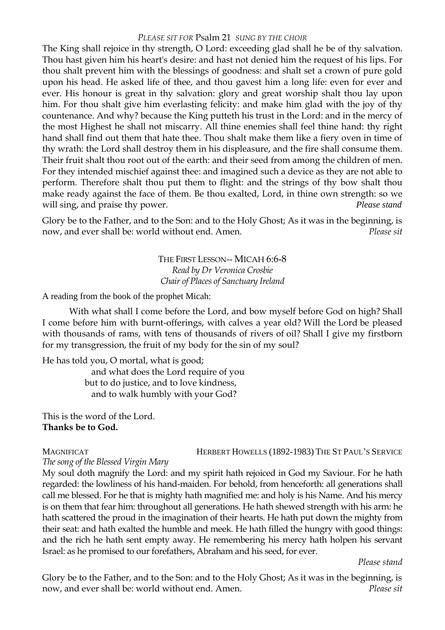#### *PLEASE SIT FOR* Psalm 21 *SUNG BY THE CHOIR*

The King shall rejoice in thy strength, O Lord: exceeding glad shall he be of thy salvation. Thou hast given him his heart's desire: and hast not denied him the request of his lips. For thou shalt prevent him with the blessings of goodness: and shalt set a crown of pure gold upon his head. He asked life of thee, and thou gavest him a long life: even for ever and ever. His honour is great in thy salvation: glory and great worship shalt thou lay upon him. For thou shalt give him everlasting felicity: and make him glad with the joy of thy countenance. And why? because the King putteth his trust in the Lord: and in the mercy of the most Highest he shall not miscarry. All thine enemies shall feel thine hand: thy right hand shall find out them that hate thee. Thou shalt make them like a fiery oven in time of thy wrath: the Lord shall destroy them in his displeasure, and the fire shall consume them. Their fruit shalt thou root out of the earth: and their seed from among the children of men. For they intended mischief against thee: and imagined such a device as they are not able to perform. Therefore shalt thou put them to flight: and the strings of thy bow shalt thou make ready against the face of them. Be thou exalted, Lord, in thine own strength: so we will sing, and praise thy power. *Please stand*

Glory be to the Father, and to the Son: and to the Holy Ghost; As it was in the beginning, is now, and ever shall be: world without end. Amen. *Please sit*

> THE FIRST LESSON-- MICAH 6:6-8 *Read by Dr Veronica Crosbie Chair of Places of Sanctuary Ireland*

A reading from the book of the prophet Micah:

With what shall I come before the Lord, and bow myself before God on high? Shall I come before him with burnt-offerings, with calves a year old? Will the Lord be pleased with thousands of rams, with tens of thousands of rivers of oil? Shall I give my firstborn for my transgression, the fruit of my body for the sin of my soul?

He has told you, O mortal, what is good;

 and what does the Lord require of you but to do justice, and to love kindness, and to walk humbly with your God?

This is the word of the Lord. **Thanks be to God.**

MAGNIFICAT HERBERT HOWELLS (1892-1983) THE ST PAUL'S SERVICE

*The song of the Blessed Virgin Mary* 

My soul doth magnify the Lord: and my spirit hath rejoiced in God my Saviour. For he hath regarded: the lowliness of his hand-maiden. For behold, from henceforth: all generations shall call me blessed. For he that is mighty hath magnified me: and holy is his Name. And his mercy is on them that fear him: throughout all generations. He hath shewed strength with his arm: he hath scattered the proud in the imagination of their hearts. He hath put down the mighty from their seat: and hath exalted the humble and meek. He hath filled the hungry with good things: and the rich he hath sent empty away. He remembering his mercy hath holpen his servant Israel: as he promised to our forefathers, Abraham and his seed, for ever.

*Please stand*

Glory be to the Father, and to the Son: and to the Holy Ghost; As it was in the beginning, is now, and ever shall be: world without end. Amen. *Please sit*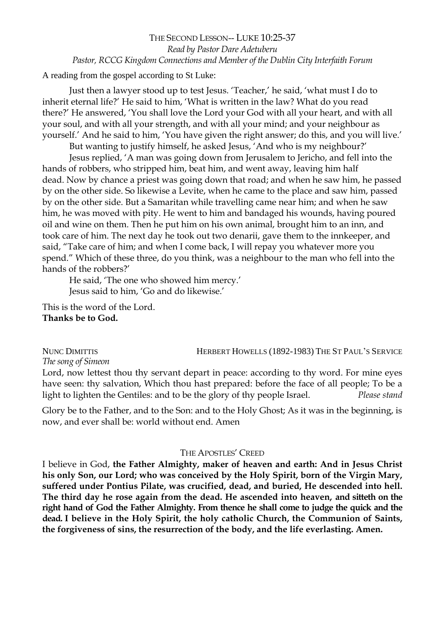THE SECOND LESSON-- LUKE 10:25-37 *Read by Pastor Dare Adetuberu Pastor, RCCG Kingdom Connections and Member of the Dublin City Interfaith Forum*

A reading from the gospel according to St Luke:

Just then a lawyer stood up to test Jesus. 'Teacher,' he said, 'what must I do to inherit eternal life?' He said to him, 'What is written in the law? What do you read there?' He answered, 'You shall love the Lord your God with all your heart, and with all your soul, and with all your strength, and with all your mind; and your neighbour as yourself.' And he said to him, 'You have given the right answer; do this, and you will live.'

But wanting to justify himself, he asked Jesus, 'And who is my neighbour?'

Jesus replied, 'A man was going down from Jerusalem to Jericho, and fell into the hands of robbers, who stripped him, beat him, and went away, leaving him half dead. Now by chance a priest was going down that road; and when he saw him, he passed by on the other side. So likewise a Levite, when he came to the place and saw him, passed by on the other side. But a Samaritan while travelling came near him; and when he saw him, he was moved with pity. He went to him and bandaged his wounds, having poured oil and wine on them. Then he put him on his own animal, brought him to an inn, and took care of him. The next day he took out two denarii, gave them to the innkeeper, and said, "Take care of him; and when I come back, I will repay you whatever more you spend." Which of these three, do you think, was a neighbour to the man who fell into the hands of the robbers?'

He said, 'The one who showed him mercy.' Jesus said to him, 'Go and do likewise.'

This is the word of the Lord. **Thanks be to God.**

NUNC DIMITTIS HERBERT HOWELLS (1892-1983) THE ST PAUL'S SERVICE

# *The song of Simeon*

Lord, now lettest thou thy servant depart in peace: according to thy word. For mine eyes have seen: thy salvation, Which thou hast prepared: before the face of all people; To be a light to lighten the Gentiles: and to be the glory of thy people Israel. *Please stand*

Glory be to the Father, and to the Son: and to the Holy Ghost; As it was in the beginning, is now, and ever shall be: world without end. Amen

#### THE APOSTLES' CREED

I believe in God, **the Father Almighty, maker of heaven and earth: And in Jesus Christ his only Son, our Lord; who was conceived by the Holy Spirit, born of the Virgin Mary, suffered under Pontius Pilate, was crucified, dead, and buried, He descended into hell. The third day he rose again from the dead. He ascended into heaven, and sitteth on the right hand of God the Father Almighty. From thence he shall come to judge the quick and the dead. I believe in the Holy Spirit, the holy catholic Church, the Communion of Saints, the forgiveness of sins, the resurrection of the body, and the life everlasting. Amen.**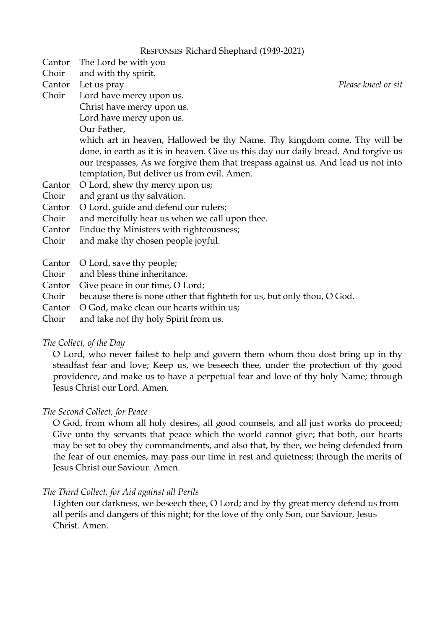#### RESPONSES Richard Shephard (1949-2021)

Cantor The Lord be with you Choir and with thy spirit.

Choir Lord have mercy upon us.

Christ have mercy upon us.

Lord have mercy upon us.

Our Father,

which art in heaven, Hallowed be thy Name. Thy kingdom come, Thy will be done, in earth as it is in heaven. Give us this day our daily bread. And forgive us our trespasses, As we forgive them that trespass against us. And lead us not into temptation, But deliver us from evil. Amen.

- Cantor O Lord, shew thy mercy upon us;
- Choir and grant us thy salvation.
- Cantor O Lord, guide and defend our rulers;
- Choir and mercifully hear us when we call upon thee.
- Cantor Endue thy Ministers with righteousness;
- Choir and make thy chosen people joyful.
- Cantor O Lord, save thy people;
- Choir and bless thine inheritance.
- Cantor Give peace in our time, O Lord;
- Choir because there is none other that fighteth for us, but only thou, O God.
- Cantor O God, make clean our hearts within us;
- Choir and take not thy holy Spirit from us.

### *The Collect, of the Day*

O Lord, who never failest to help and govern them whom thou dost bring up in thy steadfast fear and love; Keep us, we beseech thee, under the protection of thy good providence, and make us to have a perpetual fear and love of thy holy Name; through Jesus Christ our Lord. Amen.

### *The Second Collect, for Peace*

O God, from whom all holy desires, all good counsels, and all just works do proceed; Give unto thy servants that peace which the world cannot give; that both, our hearts may be set to obey thy commandments, and also that, by thee, we being defended from the fear of our enemies, may pass our time in rest and quietness; through the merits of Jesus Christ our Saviour. Amen.

#### *The Third Collect, for Aid against all Perils*

Lighten our darkness, we beseech thee, O Lord; and by thy great mercy defend us from all perils and dangers of this night; for the love of thy only Son, our Saviour, Jesus Christ. Amen.

Cantor Let us pray *Please kneel or sit*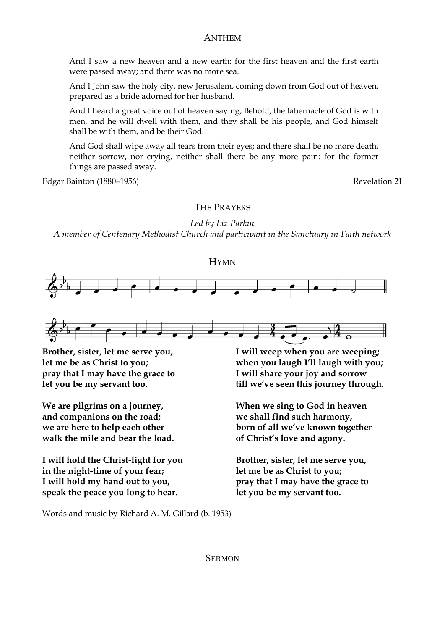#### **ANTHEM**

And I saw a new heaven and a new earth: for the first heaven and the first earth were passed away; and there was no more sea.

And I John saw the holy city, new Jerusalem, coming down from God out of heaven, prepared as a bride adorned for her husband.

And I heard a great voice out of heaven saying, Behold, the tabernacle of God is with men, and he will dwell with them, and they shall be his people, and God himself shall be with them, and be their God.

And God shall wipe away all tears from their eyes; and there shall be no more death, neither sorrow, nor crying, neither shall there be any more pain: for the former things are passed away.

Edgar Bainton (1880–1956) Revelation 21

# THE PRAYERS

*Led by Liz Parkin A member of Centenary Methodist Church and participant in the Sanctuary in Faith network*

HYMN





**Brother, sister, let me serve you, let me be as Christ to you; pray that I may have the grace to let you be my servant too.**

**We are pilgrims on a journey, and companions on the road; we are here to help each other walk the mile and bear the load.**

**I will hold the Christ-light for you in the night-time of your fear; I will hold my hand out to you, speak the peace you long to hear.**

**I will weep when you are weeping; when you laugh I'll laugh with you; I will share your joy and sorrow till we've seen this journey through.**

**When we sing to God in heaven we shall find such harmony, born of all we've known together of Christ's love and agony.**

**Brother, sister, let me serve you, let me be as Christ to you; pray that I may have the grace to let you be my servant too.**

Words and music by Richard A. M. Gillard (b. 1953)

**SERMON**